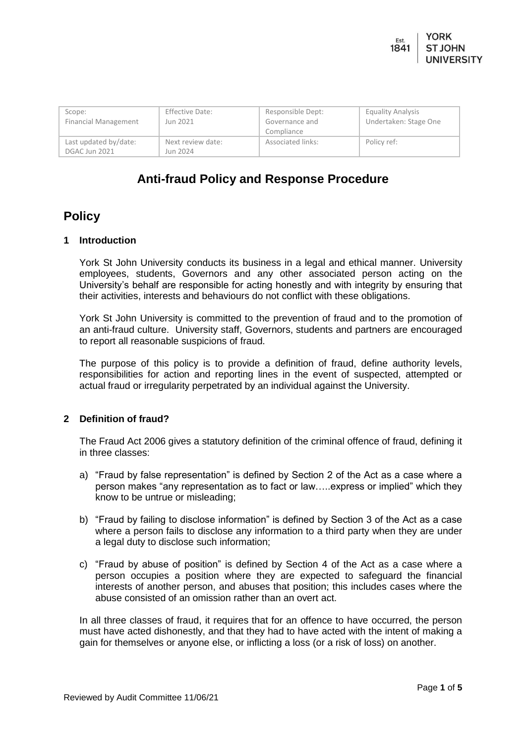| Scope:<br>Financial Management         | Effective Date:<br>Jun 2021   | Responsible Dept:<br>Governance and<br>Compliance | <b>Equality Analysis</b><br>Undertaken: Stage One |
|----------------------------------------|-------------------------------|---------------------------------------------------|---------------------------------------------------|
| Last updated by/date:<br>DGAC Jun 2021 | Next review date:<br>Jun 2024 | Associated links:                                 | Policy ref:                                       |

# **Anti-fraud Policy and Response Procedure**

## **Policy**

## **1 Introduction**

York St John University conducts its business in a legal and ethical manner. University employees, students, Governors and any other associated person acting on the University's behalf are responsible for acting honestly and with integrity by ensuring that their activities, interests and behaviours do not conflict with these obligations.

York St John University is committed to the prevention of fraud and to the promotion of an anti-fraud culture. University staff, Governors, students and partners are encouraged to report all reasonable suspicions of fraud.

The purpose of this policy is to provide a definition of fraud, define authority levels, responsibilities for action and reporting lines in the event of suspected, attempted or actual fraud or irregularity perpetrated by an individual against the University.

## **2 Definition of fraud?**

The Fraud Act 2006 gives a statutory definition of the criminal offence of fraud, defining it in three classes:

- a) "Fraud by false representation" is defined by Section 2 of the Act as a case where a person makes "any representation as to fact or law…..express or implied" which they know to be untrue or misleading;
- b) "Fraud by failing to disclose information" is defined by Section 3 of the Act as a case where a person fails to disclose any information to a third party when they are under a legal duty to disclose such information;
- c) "Fraud by abuse of position" is defined by Section 4 of the Act as a case where a person occupies a position where they are expected to safeguard the financial interests of another person, and abuses that position; this includes cases where the abuse consisted of an omission rather than an overt act.

In all three classes of fraud, it requires that for an offence to have occurred, the person must have acted dishonestly, and that they had to have acted with the intent of making a gain for themselves or anyone else, or inflicting a loss (or a risk of loss) on another.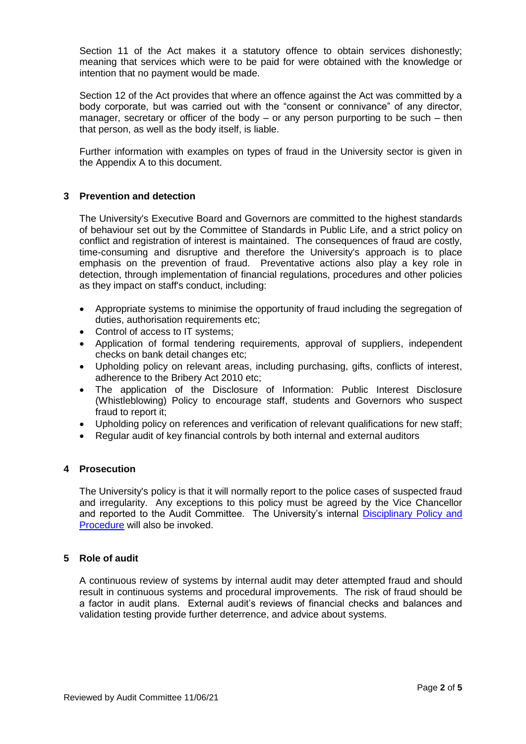Section 11 of the Act makes it a statutory offence to obtain services dishonestly; meaning that services which were to be paid for were obtained with the knowledge or intention that no payment would be made.

Section 12 of the Act provides that where an offence against the Act was committed by a body corporate, but was carried out with the "consent or connivance" of any director, manager, secretary or officer of the body – or any person purporting to be such – then that person, as well as the body itself, is liable.

Further information with examples on types of fraud in the University sector is given in the Appendix A to this document.

## **3 Prevention and detection**

The University's Executive Board and Governors are committed to the highest standards of behaviour set out by the Committee of Standards in Public Life, and a strict policy on conflict and registration of interest is maintained. The consequences of fraud are costly, time-consuming and disruptive and therefore the University's approach is to place emphasis on the prevention of fraud. Preventative actions also play a key role in detection, through implementation of financial regulations, procedures and other policies as they impact on staff's conduct, including:

- Appropriate systems to minimise the opportunity of fraud including the segregation of duties, authorisation requirements etc;
- Control of access to IT systems;
- Application of formal tendering requirements, approval of suppliers, independent checks on bank detail changes etc;
- Upholding policy on relevant areas, including purchasing, gifts, conflicts of interest, adherence to the Bribery Act 2010 etc;
- The application of the Disclosure of Information: Public Interest Disclosure (Whistleblowing) Policy to encourage staff, students and Governors who suspect fraud to report it;
- Upholding policy on references and verification of relevant qualifications for new staff;
- Regular audit of key financial controls by both internal and external auditors

#### **4 Prosecution**

The University's policy is that it will normally report to the police cases of suspected fraud and irregularity. Any exceptions to this policy must be agreed by the Vice Chancellor and reported to the Audit Committee. The University's internal [Disciplinary](https://staffroom.yorksj.ac.uk/Content/File/Index/ebd60f5f-b0b1-49a9-8b7b-a75f5f8e7beb?forceApprovalStatus=False&reviewComplete=False) Policy and [Procedure](https://staffroom.yorksj.ac.uk/Content/File/Index/ebd60f5f-b0b1-49a9-8b7b-a75f5f8e7beb?forceApprovalStatus=False&reviewComplete=False) will also be invoked.

#### **5 Role of audit**

A continuous review of systems by internal audit may deter attempted fraud and should result in continuous systems and procedural improvements. The risk of fraud should be a factor in audit plans. External audit's reviews of financial checks and balances and validation testing provide further deterrence, and advice about systems.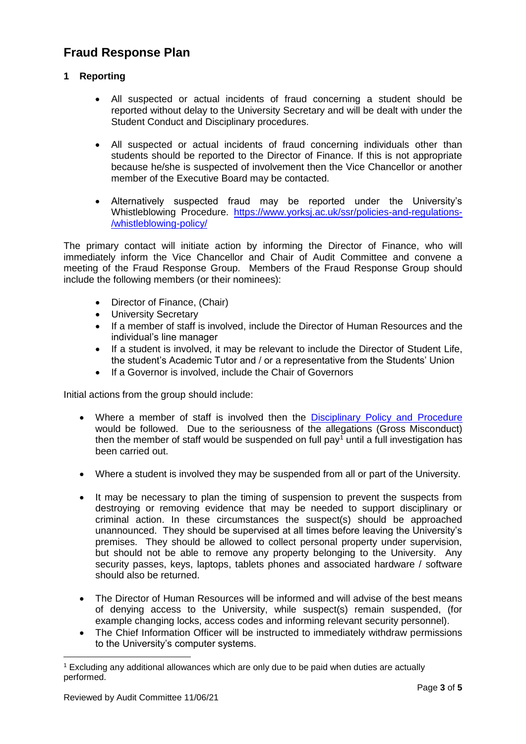## **Fraud Response Plan**

## **1 Reporting**

- All suspected or actual incidents of fraud concerning a student should be reported without delay to the University Secretary and will be dealt with under the Student Conduct and Disciplinary procedures.
- All suspected or actual incidents of fraud concerning individuals other than students should be reported to the Director of Finance. If this is not appropriate because he/she is suspected of involvement then the Vice Chancellor or another member of the Executive Board may be contacted.
- Alternatively suspected fraud may be reported under the University's Whistleblowing Procedure. [https://www.yorksj.ac.uk/ssr/policies-and-regulations-](https://www.yorksj.ac.uk/ssr/policies-and-regulations-/whistleblowing-policy/) [/whistleblowing-policy/](https://www.yorksj.ac.uk/ssr/policies-and-regulations-/whistleblowing-policy/)

The primary contact will initiate action by informing the Director of Finance, who will immediately inform the Vice Chancellor and Chair of Audit Committee and convene a meeting of the Fraud Response Group. Members of the Fraud Response Group should include the following members (or their nominees):

- Director of Finance, (Chair)
- University Secretary
- If a member of staff is involved, include the Director of Human Resources and the individual's line manager
- If a student is involved, it may be relevant to include the Director of Student Life, the student's Academic Tutor and / or a representative from the Students' Union
- If a Governor is involved, include the Chair of Governors

Initial actions from the group should include:

- Where a member of staff is involved then the [Disciplinary](https://staffroom.yorksj.ac.uk/Content/File/Index/ebd60f5f-b0b1-49a9-8b7b-a75f5f8e7beb?forceApprovalStatus=False&reviewComplete=False) Policy and Procedure would be followed. Due to the seriousness of the allegations (Gross Misconduct) then the member of staff would be suspended on full pay<sup>1</sup> until a full investigation has been carried out.
- Where a student is involved they may be suspended from all or part of the University.
- It may be necessary to plan the timing of suspension to prevent the suspects from destroying or removing evidence that may be needed to support disciplinary or criminal action. In these circumstances the suspect(s) should be approached unannounced. They should be supervised at all times before leaving the University's premises. They should be allowed to collect personal property under supervision, but should not be able to remove any property belonging to the University. Any security passes, keys, laptops, tablets phones and associated hardware / software should also be returned.
- The Director of Human Resources will be informed and will advise of the best means of denying access to the University, while suspect(s) remain suspended, (for example changing locks, access codes and informing relevant security personnel).
- The Chief Information Officer will be instructed to immediately withdraw permissions to the University's computer systems.

1

<sup>1</sup> Excluding any additional allowances which are only due to be paid when duties are actually performed.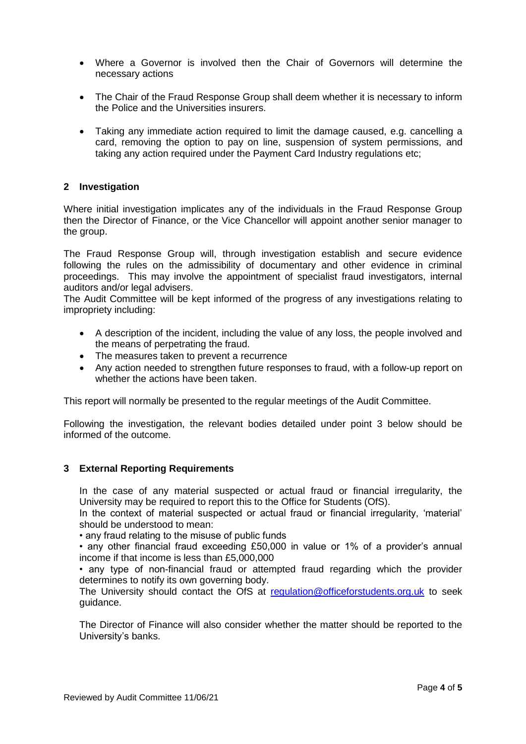- Where a Governor is involved then the Chair of Governors will determine the necessary actions
- The Chair of the Fraud Response Group shall deem whether it is necessary to inform the Police and the Universities insurers.
- Taking any immediate action required to limit the damage caused, e.g. cancelling a card, removing the option to pay on line, suspension of system permissions, and taking any action required under the Payment Card Industry regulations etc;

### **2 Investigation**

Where initial investigation implicates any of the individuals in the Fraud Response Group then the Director of Finance, or the Vice Chancellor will appoint another senior manager to the group.

The Fraud Response Group will, through investigation establish and secure evidence following the rules on the admissibility of documentary and other evidence in criminal proceedings. This may involve the appointment of specialist fraud investigators, internal auditors and/or legal advisers.

The Audit Committee will be kept informed of the progress of any investigations relating to impropriety including:

- A description of the incident, including the value of any loss, the people involved and the means of perpetrating the fraud.
- The measures taken to prevent a recurrence
- Any action needed to strengthen future responses to fraud, with a follow-up report on whether the actions have been taken.

This report will normally be presented to the regular meetings of the Audit Committee.

Following the investigation, the relevant bodies detailed under point 3 below should be informed of the outcome.

## **3 External Reporting Requirements**

In the case of any material suspected or actual fraud or financial irregularity, the University may be required to report this to the Office for Students (OfS).

In the context of material suspected or actual fraud or financial irregularity, 'material' should be understood to mean:

• any fraud relating to the misuse of public funds

• any other financial fraud exceeding £50,000 in value or 1% of a provider's annual income if that income is less than £5,000,000

• any type of non-financial fraud or attempted fraud regarding which the provider determines to notify its own governing body.

The University should contact the OfS at [regulation@officeforstudents.org.uk](mailto:regulation@officeforstudents.org.uk) to seek guidance.

The Director of Finance will also consider whether the matter should be reported to the University's banks.